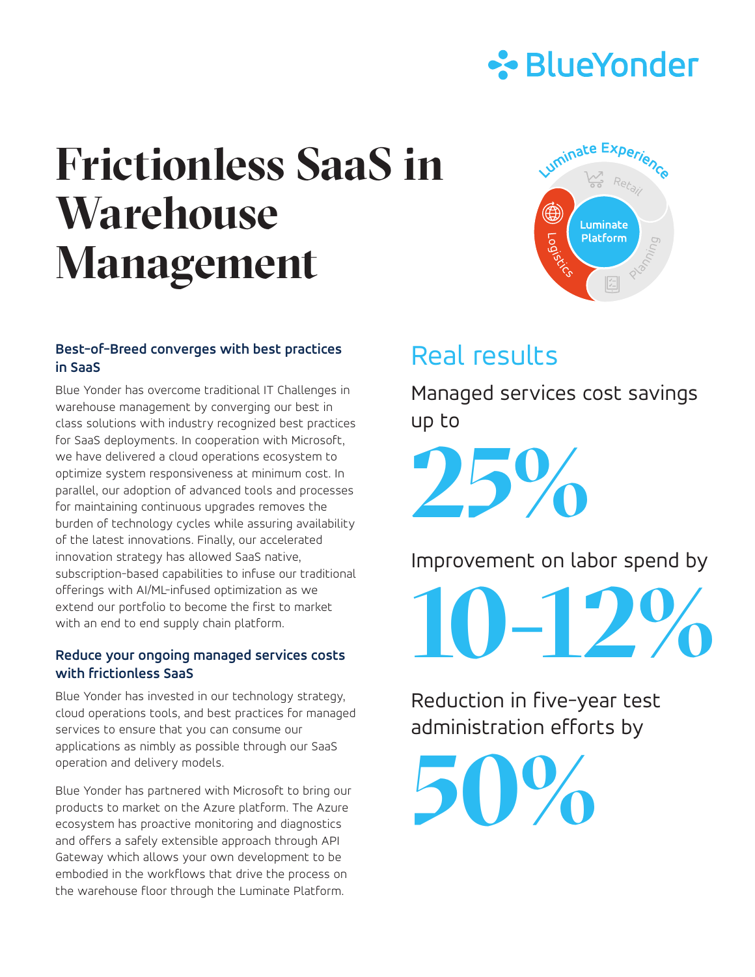

# **Frictionless SaaS in Warehouse Management**

#### **Best-of-Breed converges with best practices in SaaS**

Blue Yonder has overcome traditional IT Challenges in warehouse management by converging our best in class solutions with industry recognized best practices for SaaS deployments. In cooperation with Microsoft, we have delivered a cloud operations ecosystem to optimize system responsiveness at minimum cost. In parallel, our adoption of advanced tools and processes for maintaining continuous upgrades removes the burden of technology cycles while assuring availability of the latest innovations. Finally, our accelerated innovation strategy has allowed SaaS native, subscription-based capabilities to infuse our traditional offerings with AI/ML-infused optimization as we extend our portfolio to become the first to market with an end to end supply chain platform.

#### **Reduce your ongoing managed services costs with frictionless SaaS**

Blue Yonder has invested in our technology strategy, cloud operations tools, and best practices for managed services to ensure that you can consume our applications as nimbly as possible through our SaaS operation and delivery models.

Blue Yonder has partnered with Microsoft to bring our products to market on the Azure platform. The Azure ecosystem has proactive monitoring and diagnostics and offers a safely extensible approach through API Gateway which allows your own development to be embodied in the workflows that drive the process on the warehouse floor through the Luminate Platform.



## Real results

Managed services cost savings up to

**25%**

Improvement on labor spend by

**10-12%**

Reduction in five-year test administration efforts by

**50%**